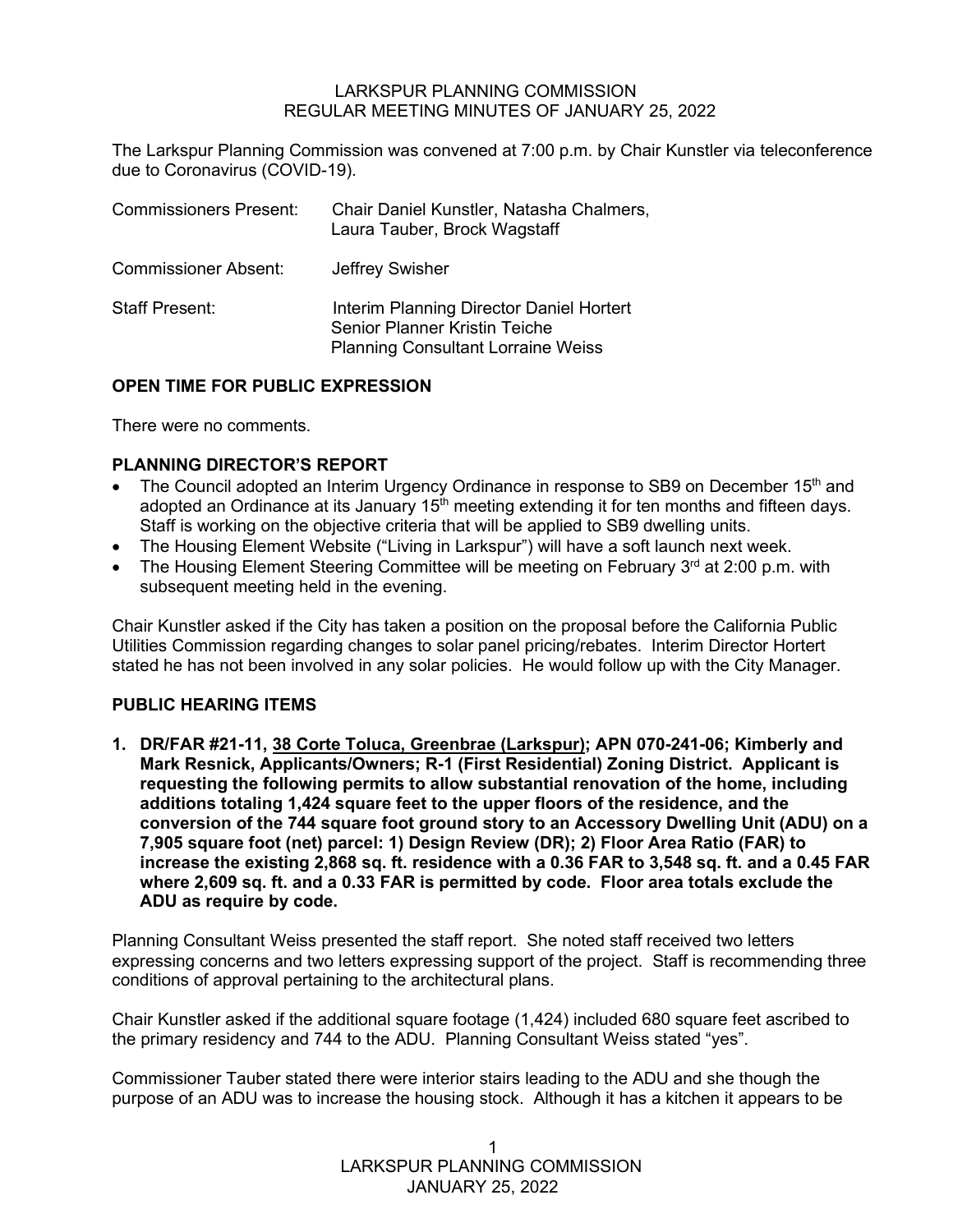#### LARKSPUR PLANNING COMMISSION REGULAR MEETING MINUTES OF JANUARY 25, 2022

The Larkspur Planning Commission was convened at 7:00 p.m. by Chair Kunstler via teleconference due to Coronavirus (COVID-19).

| <b>Commissioners Present:</b> | Chair Daniel Kunstler, Natasha Chalmers,<br>Laura Tauber, Brock Wagstaff                                               |
|-------------------------------|------------------------------------------------------------------------------------------------------------------------|
| <b>Commissioner Absent:</b>   | Jeffrey Swisher                                                                                                        |
| <b>Staff Present:</b>         | Interim Planning Director Daniel Hortert<br>Senior Planner Kristin Teiche<br><b>Planning Consultant Lorraine Weiss</b> |

## **OPEN TIME FOR PUBLIC EXPRESSION**

There were no comments.

## **PLANNING DIRECTOR'S REPORT**

- The Council adopted an Interim Urgency Ordinance in response to SB9 on December 15<sup>th</sup> and adopted an Ordinance at its January 15<sup>th</sup> meeting extending it for ten months and fifteen days. Staff is working on the objective criteria that will be applied to SB9 dwelling units.
- The Housing Element Website ("Living in Larkspur") will have a soft launch next week.
- The Housing Element Steering Committee will be meeting on February  $3<sup>rd</sup>$  at 2:00 p.m. with subsequent meeting held in the evening.

Chair Kunstler asked if the City has taken a position on the proposal before the California Public Utilities Commission regarding changes to solar panel pricing/rebates. Interim Director Hortert stated he has not been involved in any solar policies. He would follow up with the City Manager.

# **PUBLIC HEARING ITEMS**

**1. DR/FAR #21-11, 38 Corte Toluca, Greenbrae (Larkspur); APN 070-241-06; Kimberly and Mark Resnick, Applicants/Owners; R-1 (First Residential) Zoning District. Applicant is requesting the following permits to allow substantial renovation of the home, including additions totaling 1,424 square feet to the upper floors of the residence, and the conversion of the 744 square foot ground story to an Accessory Dwelling Unit (ADU) on a 7,905 square foot (net) parcel: 1) Design Review (DR); 2) Floor Area Ratio (FAR) to increase the existing 2,868 sq. ft. residence with a 0.36 FAR to 3,548 sq. ft. and a 0.45 FAR where 2,609 sq. ft. and a 0.33 FAR is permitted by code. Floor area totals exclude the ADU as require by code.**

Planning Consultant Weiss presented the staff report. She noted staff received two letters expressing concerns and two letters expressing support of the project. Staff is recommending three conditions of approval pertaining to the architectural plans.

Chair Kunstler asked if the additional square footage (1,424) included 680 square feet ascribed to the primary residency and 744 to the ADU. Planning Consultant Weiss stated "yes".

Commissioner Tauber stated there were interior stairs leading to the ADU and she though the purpose of an ADU was to increase the housing stock. Although it has a kitchen it appears to be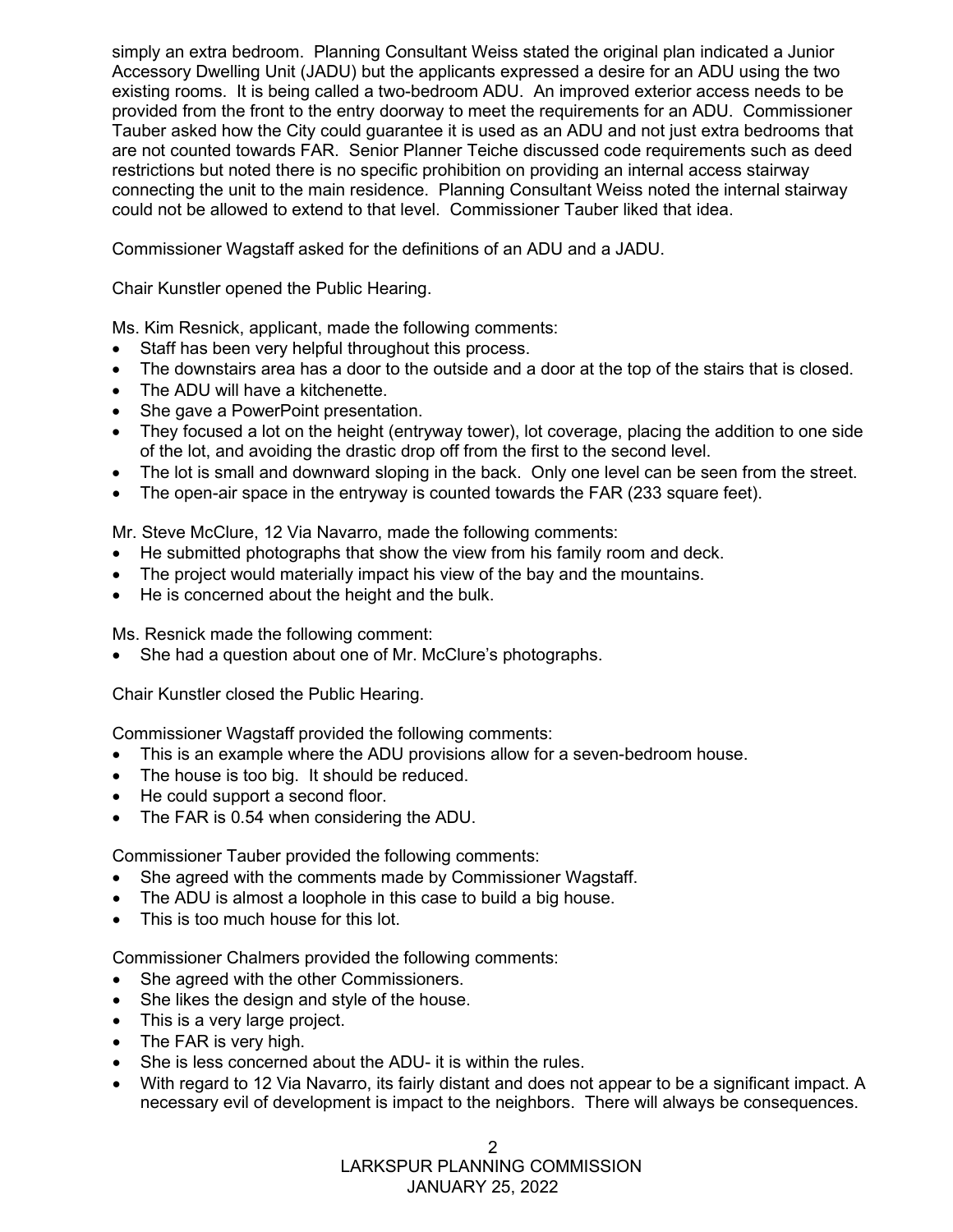simply an extra bedroom. Planning Consultant Weiss stated the original plan indicated a Junior Accessory Dwelling Unit (JADU) but the applicants expressed a desire for an ADU using the two existing rooms. It is being called a two-bedroom ADU. An improved exterior access needs to be provided from the front to the entry doorway to meet the requirements for an ADU. Commissioner Tauber asked how the City could guarantee it is used as an ADU and not just extra bedrooms that are not counted towards FAR. Senior Planner Teiche discussed code requirements such as deed restrictions but noted there is no specific prohibition on providing an internal access stairway connecting the unit to the main residence. Planning Consultant Weiss noted the internal stairway could not be allowed to extend to that level. Commissioner Tauber liked that idea.

Commissioner Wagstaff asked for the definitions of an ADU and a JADU.

Chair Kunstler opened the Public Hearing.

Ms. Kim Resnick, applicant, made the following comments:

- Staff has been very helpful throughout this process.
- The downstairs area has a door to the outside and a door at the top of the stairs that is closed.
- The ADU will have a kitchenette.
- She gave a PowerPoint presentation.
- They focused a lot on the height (entryway tower), lot coverage, placing the addition to one side of the lot, and avoiding the drastic drop off from the first to the second level.
- The lot is small and downward sloping in the back. Only one level can be seen from the street.
- The open-air space in the entryway is counted towards the FAR (233 square feet).

Mr. Steve McClure, 12 Via Navarro, made the following comments:

- He submitted photographs that show the view from his family room and deck.
- The project would materially impact his view of the bay and the mountains.
- He is concerned about the height and the bulk.

Ms. Resnick made the following comment:

• She had a question about one of Mr. McClure's photographs.

Chair Kunstler closed the Public Hearing.

Commissioner Wagstaff provided the following comments:

- This is an example where the ADU provisions allow for a seven-bedroom house.
- The house is too big. It should be reduced.
- He could support a second floor.
- The FAR is 0.54 when considering the ADU.

Commissioner Tauber provided the following comments:

- She agreed with the comments made by Commissioner Wagstaff.
- The ADU is almost a loophole in this case to build a big house.
- This is too much house for this lot.

Commissioner Chalmers provided the following comments:

- She agreed with the other Commissioners.
- She likes the design and style of the house.
- This is a very large project.
- The FAR is very high.
- She is less concerned about the ADU- it is within the rules.
- With regard to 12 Via Navarro, its fairly distant and does not appear to be a significant impact. A necessary evil of development is impact to the neighbors. There will always be consequences.

 LARKSPUR PLANNING COMMISSION JANUARY 25, 2022  $\mathfrak{D}$